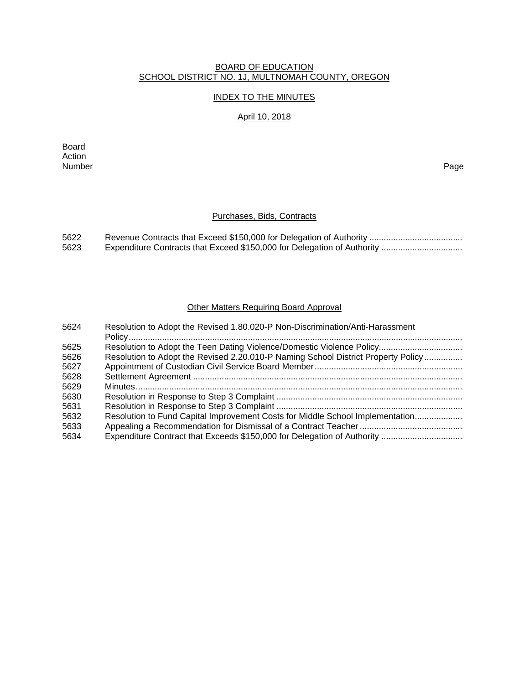### BOARD OF EDUCATION SCHOOL DISTRICT NO. 1J, MULTNOMAH COUNTY, OREGON

# INDEX TO THE MINUTES

### April 10, 2018

Board Action<br>Number Number Page

## Purchases, Bids, Contracts

| 5622 |  |
|------|--|
| 5623 |  |

## Other Matters Requiring Board Approval

| 5624 | Resolution to Adopt the Revised 1.80.020-P Non-Discrimination/Anti-Harassment     |
|------|-----------------------------------------------------------------------------------|
| 5625 |                                                                                   |
| 5626 | Resolution to Adopt the Revised 2.20.010-P Naming School District Property Policy |
| 5627 |                                                                                   |
| 5628 |                                                                                   |
| 5629 |                                                                                   |
| 5630 |                                                                                   |
| 5631 |                                                                                   |
| 5632 | Resolution to Fund Capital Improvement Costs for Middle School Implementation     |
| 5633 |                                                                                   |
| 5634 |                                                                                   |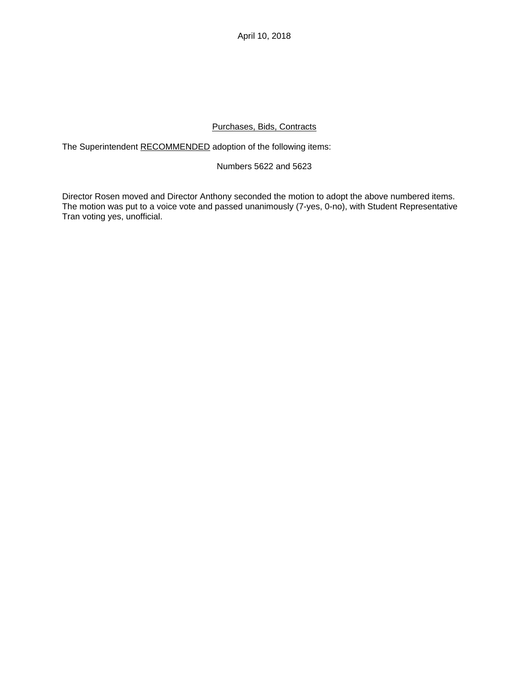April 10, 2018

# Purchases, Bids, Contracts

The Superintendent RECOMMENDED adoption of the following items:

### Numbers 5622 and 5623

Director Rosen moved and Director Anthony seconded the motion to adopt the above numbered items. The motion was put to a voice vote and passed unanimously (7-yes, 0-no), with Student Representative Tran voting yes, unofficial.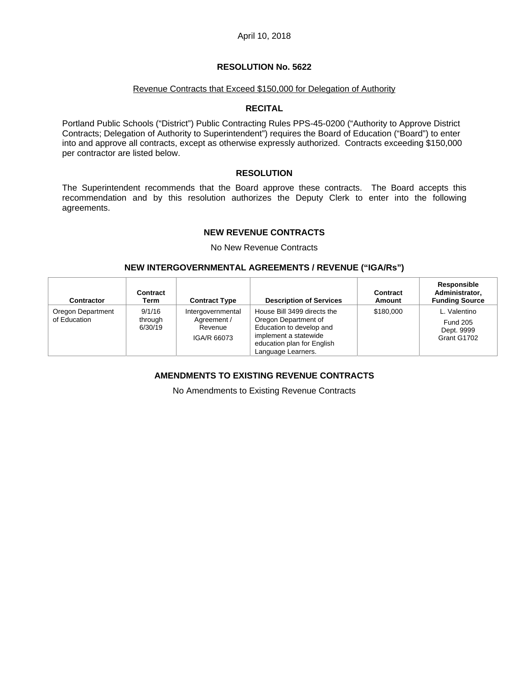#### Revenue Contracts that Exceed \$150,000 for Delegation of Authority

### **RECITAL**

Portland Public Schools ("District") Public Contracting Rules PPS-45-0200 ("Authority to Approve District Contracts; Delegation of Authority to Superintendent") requires the Board of Education ("Board") to enter into and approve all contracts, except as otherwise expressly authorized. Contracts exceeding \$150,000 per contractor are listed below.

### **RESOLUTION**

The Superintendent recommends that the Board approve these contracts. The Board accepts this recommendation and by this resolution authorizes the Deputy Clerk to enter into the following agreements.

### **NEW REVENUE CONTRACTS**

No New Revenue Contracts

### **NEW INTERGOVERNMENTAL AGREEMENTS / REVENUE ("IGA/Rs")**

| Contractor                        | Contract<br>Term             | <b>Contract Type</b>                                       | <b>Description of Services</b>                                                                                                                               | Contract<br>Amount | Responsible<br>Administrator,<br><b>Funding Source</b>       |
|-----------------------------------|------------------------------|------------------------------------------------------------|--------------------------------------------------------------------------------------------------------------------------------------------------------------|--------------------|--------------------------------------------------------------|
| Oregon Department<br>of Education | 9/1/16<br>through<br>6/30/19 | Intergovernmental<br>Agreement /<br>Revenue<br>IGA/R 66073 | House Bill 3499 directs the<br>Oregon Department of<br>Education to develop and<br>implement a statewide<br>education plan for English<br>Language Learners. | \$180,000          | L. Valentino<br><b>Fund 205</b><br>Dept. 9999<br>Grant G1702 |

# **AMENDMENTS TO EXISTING REVENUE CONTRACTS**

No Amendments to Existing Revenue Contracts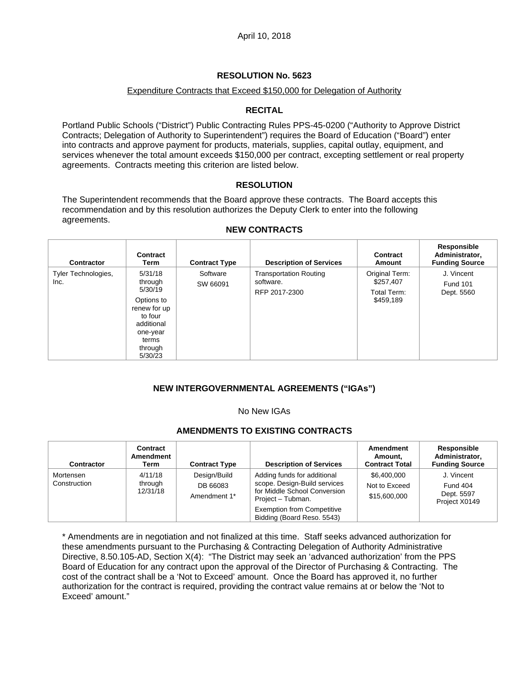## Expenditure Contracts that Exceed \$150,000 for Delegation of Authority

## **RECITAL**

Portland Public Schools ("District") Public Contracting Rules PPS-45-0200 ("Authority to Approve District Contracts; Delegation of Authority to Superintendent") requires the Board of Education ("Board") enter into contracts and approve payment for products, materials, supplies, capital outlay, equipment, and services whenever the total amount exceeds \$150,000 per contract, excepting settlement or real property agreements. Contracts meeting this criterion are listed below.

### **RESOLUTION**

The Superintendent recommends that the Board approve these contracts. The Board accepts this recommendation and by this resolution authorizes the Deputy Clerk to enter into the following agreements.

| <b>Contractor</b>           | Contract<br>Term                                                                                                                | <b>Contract Type</b> | <b>Description of Services</b>                              | Contract<br>Amount                                      | Responsible<br>Administrator,<br><b>Funding Source</b> |
|-----------------------------|---------------------------------------------------------------------------------------------------------------------------------|----------------------|-------------------------------------------------------------|---------------------------------------------------------|--------------------------------------------------------|
| Tyler Technologies,<br>Inc. | 5/31/18<br>through<br>5/30/19<br>Options to<br>renew for up<br>to four<br>additional<br>one-year<br>terms<br>through<br>5/30/23 | Software<br>SW 66091 | <b>Transportation Routing</b><br>software.<br>RFP 2017-2300 | Original Term:<br>\$257,407<br>Total Term:<br>\$459,189 | J. Vincent<br><b>Fund 101</b><br>Dept. 5560            |

#### **NEW CONTRACTS**

## **NEW INTERGOVERNMENTAL AGREEMENTS ("IGAs")**

#### No New IGAs

#### **AMENDMENTS TO EXISTING CONTRACTS**

| Contractor                | Contract<br>Amendment<br>Term  | <b>Contract Type</b>                     | <b>Description of Services</b>                                                                                   | Amendment<br>Amount,<br><b>Contract Total</b> | Responsible<br>Administrator,<br><b>Funding Source</b> |
|---------------------------|--------------------------------|------------------------------------------|------------------------------------------------------------------------------------------------------------------|-----------------------------------------------|--------------------------------------------------------|
| Mortensen<br>Construction | 4/11/18<br>through<br>12/31/18 | Design/Build<br>DB 66083<br>Amendment 1* | Adding funds for additional<br>scope. Design-Build services<br>for Middle School Conversion<br>Project - Tubman. | \$6,400,000<br>Not to Exceed<br>\$15,600,000  | J. Vincent<br>Fund 404<br>Dept. 5597<br>Project X0149  |
|                           |                                |                                          | <b>Exemption from Competitive</b><br>Bidding (Board Reso. 5543)                                                  |                                               |                                                        |

\* Amendments are in negotiation and not finalized at this time. Staff seeks advanced authorization for these amendments pursuant to the Purchasing & Contracting Delegation of Authority Administrative Directive, 8.50.105-AD, Section X(4): "The District may seek an 'advanced authorization' from the PPS Board of Education for any contract upon the approval of the Director of Purchasing & Contracting. The cost of the contract shall be a 'Not to Exceed' amount. Once the Board has approved it, no further authorization for the contract is required, providing the contract value remains at or below the 'Not to Exceed' amount."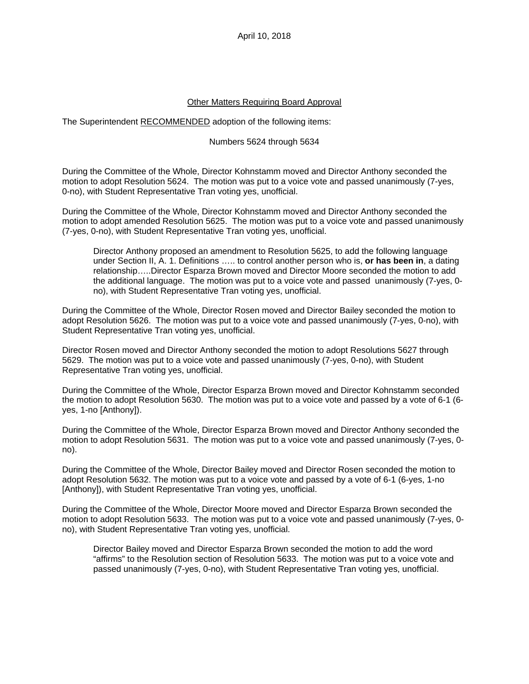April 10, 2018

### Other Matters Requiring Board Approval

The Superintendent RECOMMENDED adoption of the following items:

#### Numbers 5624 through 5634

During the Committee of the Whole, Director Kohnstamm moved and Director Anthony seconded the motion to adopt Resolution 5624. The motion was put to a voice vote and passed unanimously (7-yes, 0-no), with Student Representative Tran voting yes, unofficial.

During the Committee of the Whole, Director Kohnstamm moved and Director Anthony seconded the motion to adopt amended Resolution 5625. The motion was put to a voice vote and passed unanimously (7-yes, 0-no), with Student Representative Tran voting yes, unofficial.

Director Anthony proposed an amendment to Resolution 5625, to add the following language under Section II, A. 1. Definitions ….. to control another person who is, **or has been in**, a dating relationship…..Director Esparza Brown moved and Director Moore seconded the motion to add the additional language. The motion was put to a voice vote and passed unanimously (7-yes, 0 no), with Student Representative Tran voting yes, unofficial.

During the Committee of the Whole, Director Rosen moved and Director Bailey seconded the motion to adopt Resolution 5626. The motion was put to a voice vote and passed unanimously (7-yes, 0-no), with Student Representative Tran voting yes, unofficial.

Director Rosen moved and Director Anthony seconded the motion to adopt Resolutions 5627 through 5629. The motion was put to a voice vote and passed unanimously (7-yes, 0-no), with Student Representative Tran voting yes, unofficial.

During the Committee of the Whole, Director Esparza Brown moved and Director Kohnstamm seconded the motion to adopt Resolution 5630. The motion was put to a voice vote and passed by a vote of 6-1 (6 yes, 1-no [Anthony]).

During the Committee of the Whole, Director Esparza Brown moved and Director Anthony seconded the motion to adopt Resolution 5631. The motion was put to a voice vote and passed unanimously (7-yes, 0 no).

During the Committee of the Whole, Director Bailey moved and Director Rosen seconded the motion to adopt Resolution 5632. The motion was put to a voice vote and passed by a vote of 6-1 (6-yes, 1-no [Anthony]), with Student Representative Tran voting yes, unofficial.

During the Committee of the Whole, Director Moore moved and Director Esparza Brown seconded the motion to adopt Resolution 5633. The motion was put to a voice vote and passed unanimously (7-yes, 0 no), with Student Representative Tran voting yes, unofficial.

Director Bailey moved and Director Esparza Brown seconded the motion to add the word "affirms" to the Resolution section of Resolution 5633. The motion was put to a voice vote and passed unanimously (7-yes, 0-no), with Student Representative Tran voting yes, unofficial.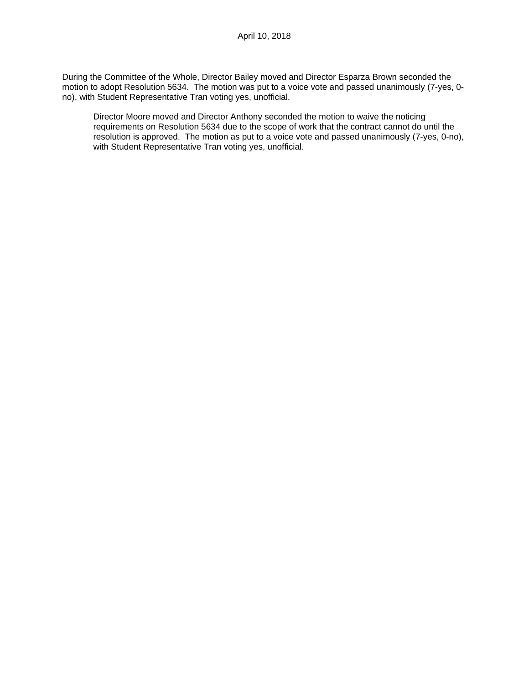During the Committee of the Whole, Director Bailey moved and Director Esparza Brown seconded the motion to adopt Resolution 5634. The motion was put to a voice vote and passed unanimously (7-yes, 0no), with Student Representative Tran voting yes, unofficial.

Director Moore moved and Director Anthony seconded the motion to waive the noticing requirements on Resolution 5634 due to the scope of work that the contract cannot do until the resolution is approved. The motion as put to a voice vote and passed unanimously (7-yes, 0-no), with Student Representative Tran voting yes, unofficial.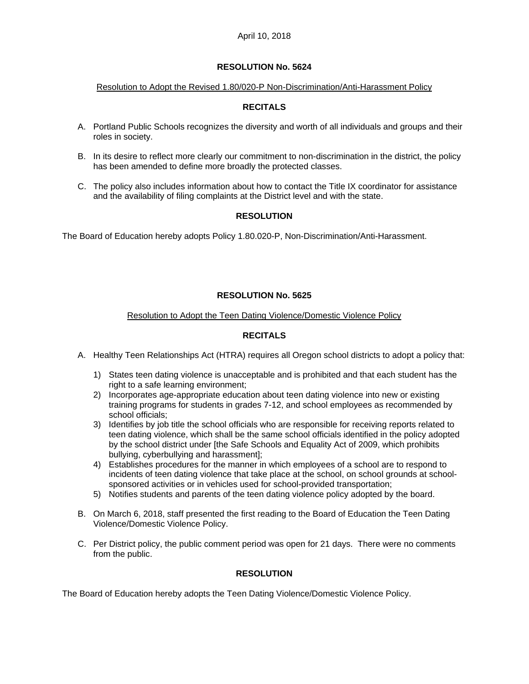#### Resolution to Adopt the Revised 1.80/020-P Non-Discrimination/Anti-Harassment Policy

# **RECITALS**

- A. Portland Public Schools recognizes the diversity and worth of all individuals and groups and their roles in society.
- B. In its desire to reflect more clearly our commitment to non-discrimination in the district, the policy has been amended to define more broadly the protected classes.
- C. The policy also includes information about how to contact the Title IX coordinator for assistance and the availability of filing complaints at the District level and with the state.

# **RESOLUTION**

The Board of Education hereby adopts Policy 1.80.020-P, Non-Discrimination/Anti-Harassment.

## **RESOLUTION No. 5625**

### Resolution to Adopt the Teen Dating Violence/Domestic Violence Policy

# **RECITALS**

- A. Healthy Teen Relationships Act (HTRA) requires all Oregon school districts to adopt a policy that:
	- 1) States teen dating violence is unacceptable and is prohibited and that each student has the right to a safe learning environment;
	- 2) Incorporates age-appropriate education about teen dating violence into new or existing training programs for students in grades 7-12, and school employees as recommended by school officials;
	- 3) Identifies by job title the school officials who are responsible for receiving reports related to teen dating violence, which shall be the same school officials identified in the policy adopted by the school district under [the Safe Schools and Equality Act of 2009, which prohibits bullying, cyberbullying and harassment];
	- 4) Establishes procedures for the manner in which employees of a school are to respond to incidents of teen dating violence that take place at the school, on school grounds at schoolsponsored activities or in vehicles used for school-provided transportation;
	- 5) Notifies students and parents of the teen dating violence policy adopted by the board.
- B. On March 6, 2018, staff presented the first reading to the Board of Education the Teen Dating Violence/Domestic Violence Policy.
- C. Per District policy, the public comment period was open for 21 days. There were no comments from the public.

## **RESOLUTION**

The Board of Education hereby adopts the Teen Dating Violence/Domestic Violence Policy.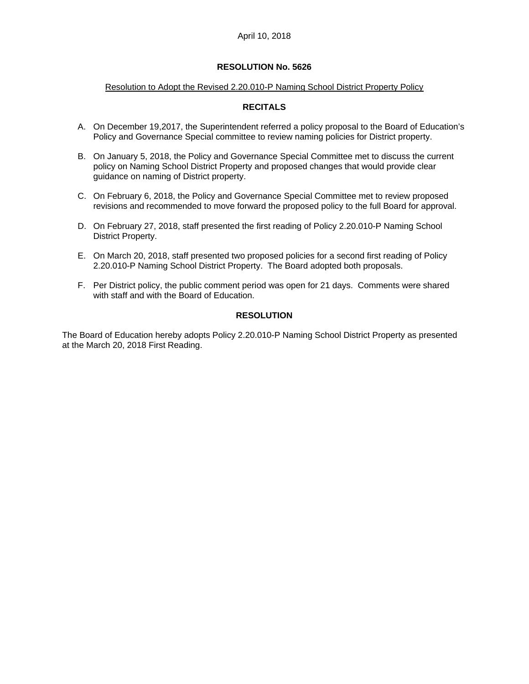#### Resolution to Adopt the Revised 2.20.010-P Naming School District Property Policy

## **RECITALS**

- A. On December 19,2017, the Superintendent referred a policy proposal to the Board of Education's Policy and Governance Special committee to review naming policies for District property.
- B. On January 5, 2018, the Policy and Governance Special Committee met to discuss the current policy on Naming School District Property and proposed changes that would provide clear guidance on naming of District property.
- C. On February 6, 2018, the Policy and Governance Special Committee met to review proposed revisions and recommended to move forward the proposed policy to the full Board for approval.
- D. On February 27, 2018, staff presented the first reading of Policy 2.20.010-P Naming School District Property.
- E. On March 20, 2018, staff presented two proposed policies for a second first reading of Policy 2.20.010-P Naming School District Property. The Board adopted both proposals.
- F. Per District policy, the public comment period was open for 21 days. Comments were shared with staff and with the Board of Education.

### **RESOLUTION**

The Board of Education hereby adopts Policy 2.20.010-P Naming School District Property as presented at the March 20, 2018 First Reading.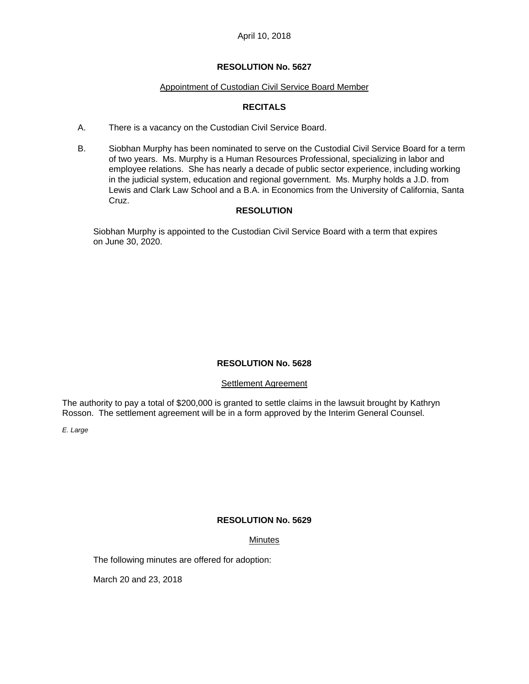### April 10, 2018

### **RESOLUTION No. 5627**

#### Appointment of Custodian Civil Service Board Member

# **RECITALS**

- A. There is a vacancy on the Custodian Civil Service Board.
- B. Siobhan Murphy has been nominated to serve on the Custodial Civil Service Board for a term of two years. Ms. Murphy is a Human Resources Professional, specializing in labor and employee relations. She has nearly a decade of public sector experience, including working in the judicial system, education and regional government. Ms. Murphy holds a J.D. from Lewis and Clark Law School and a B.A. in Economics from the University of California, Santa Cruz.

## **RESOLUTION**

 Siobhan Murphy is appointed to the Custodian Civil Service Board with a term that expires on June 30, 2020.

## **RESOLUTION No. 5628**

## Settlement Agreement

The authority to pay a total of \$200,000 is granted to settle claims in the lawsuit brought by Kathryn Rosson. The settlement agreement will be in a form approved by the Interim General Counsel.

*E. Large* 

## **RESOLUTION No. 5629**

## Minutes

The following minutes are offered for adoption:

March 20 and 23, 2018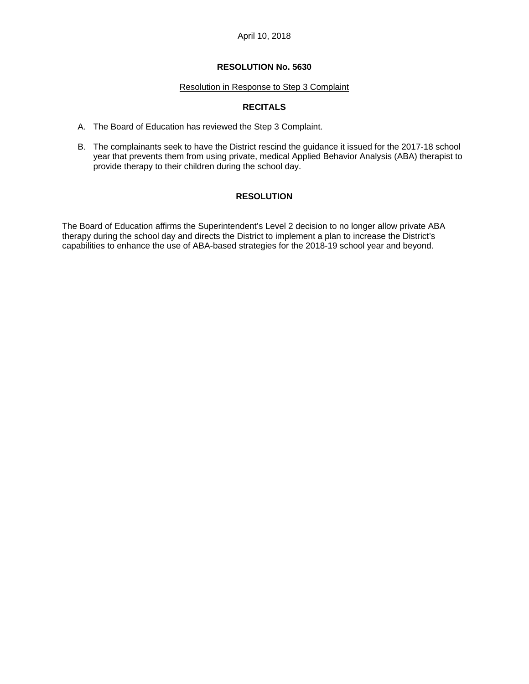#### Resolution in Response to Step 3 Complaint

## **RECITALS**

- A. The Board of Education has reviewed the Step 3 Complaint.
- B. The complainants seek to have the District rescind the guidance it issued for the 2017-18 school year that prevents them from using private, medical Applied Behavior Analysis (ABA) therapist to provide therapy to their children during the school day.

## **RESOLUTION**

The Board of Education affirms the Superintendent's Level 2 decision to no longer allow private ABA therapy during the school day and directs the District to implement a plan to increase the District's capabilities to enhance the use of ABA-based strategies for the 2018-19 school year and beyond.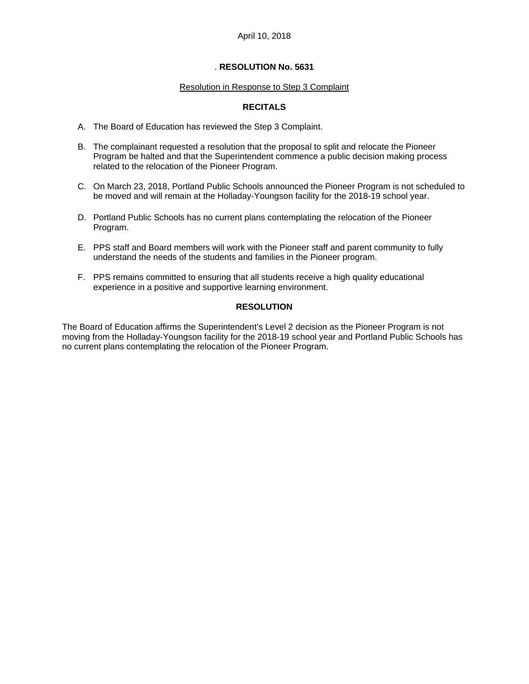#### Resolution in Response to Step 3 Complaint

### **RECITALS**

- A. The Board of Education has reviewed the Step 3 Complaint.
- B. The complainant requested a resolution that the proposal to split and relocate the Pioneer Program be halted and that the Superintendent commence a public decision making process related to the relocation of the Pioneer Program.
- C. On March 23, 2018, Portland Public Schools announced the Pioneer Program is not scheduled to be moved and will remain at the Holladay-Youngson facility for the 2018-19 school year.
- D. Portland Public Schools has no current plans contemplating the relocation of the Pioneer Program.
- E. PPS staff and Board members will work with the Pioneer staff and parent community to fully understand the needs of the students and families in the Pioneer program.
- F. PPS remains committed to ensuring that all students receive a high quality educational experience in a positive and supportive learning environment.

## **RESOLUTION**

The Board of Education affirms the Superintendent's Level 2 decision as the Pioneer Program is not moving from the Holladay-Youngson facility for the 2018-19 school year and Portland Public Schools has no current plans contemplating the relocation of the Pioneer Program.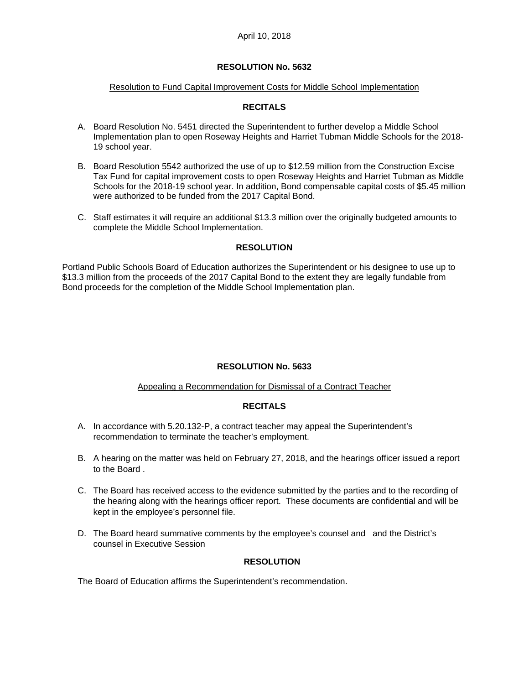#### Resolution to Fund Capital Improvement Costs for Middle School Implementation

### **RECITALS**

- A. Board Resolution No. 5451 directed the Superintendent to further develop a Middle School Implementation plan to open Roseway Heights and Harriet Tubman Middle Schools for the 2018- 19 school year.
- B. Board Resolution 5542 authorized the use of up to \$12.59 million from the Construction Excise Tax Fund for capital improvement costs to open Roseway Heights and Harriet Tubman as Middle Schools for the 2018-19 school year. In addition, Bond compensable capital costs of \$5.45 million were authorized to be funded from the 2017 Capital Bond.
- C. Staff estimates it will require an additional \$13.3 million over the originally budgeted amounts to complete the Middle School Implementation.

### **RESOLUTION**

Portland Public Schools Board of Education authorizes the Superintendent or his designee to use up to \$13.3 million from the proceeds of the 2017 Capital Bond to the extent they are legally fundable from Bond proceeds for the completion of the Middle School Implementation plan.

#### **RESOLUTION No. 5633**

#### Appealing a Recommendation for Dismissal of a Contract Teacher

#### **RECITALS**

- A. In accordance with 5.20.132-P, a contract teacher may appeal the Superintendent's recommendation to terminate the teacher's employment.
- B. A hearing on the matter was held on February 27, 2018, and the hearings officer issued a report to the Board .
- C. The Board has received access to the evidence submitted by the parties and to the recording of the hearing along with the hearings officer report. These documents are confidential and will be kept in the employee's personnel file.
- D. The Board heard summative comments by the employee's counsel and and the District's counsel in Executive Session

### **RESOLUTION**

The Board of Education affirms the Superintendent's recommendation.